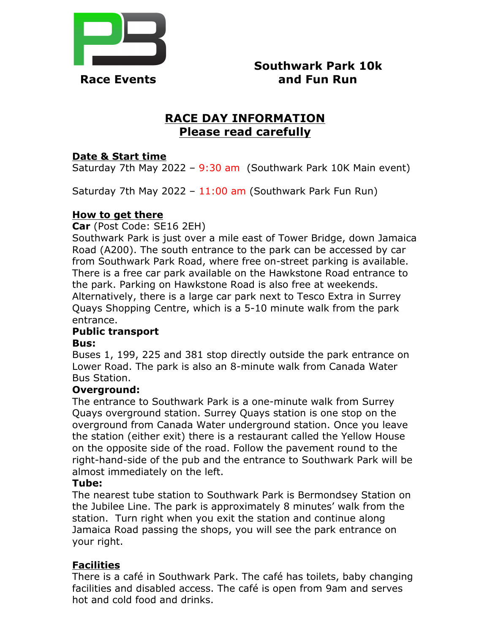

 **Southwark Park 10k Race Events and Fun Run** 

# **RACE DAY INFORMATION Please read carefully**

### **Date & Start time**

Saturday 7th May 2022 – 9:30 am (Southwark Park 10K Main event)

Saturday 7th May 2022 -  $11:00$  am (Southwark Park Fun Run)

### **How to get there**

**Car** (Post Code: SE16 2EH)

Southwark Park is just over a mile east of Tower Bridge, down Jamaica Road (A200). The south entrance to the park can be accessed by car from Southwark Park Road, where free on-street parking is available. There is a free car park available on the Hawkstone Road entrance to the park. Parking on Hawkstone Road is also free at weekends. Alternatively, there is a large car park next to Tesco Extra in Surrey Quays Shopping Centre, which is a 5-10 minute walk from the park entrance.

# **Public transport**

#### **Bus:**

Buses 1, 199, 225 and 381 stop directly outside the park entrance on Lower Road. The park is also an 8-minute walk from Canada Water Bus Station.

### **Overground:**

The entrance to Southwark Park is a one-minute walk from Surrey Quays overground station. Surrey Quays station is one stop on the overground from Canada Water underground station. Once you leave the station (either exit) there is a restaurant called the Yellow House on the opposite side of the road. Follow the pavement round to the right-hand-side of the pub and the entrance to Southwark Park will be almost immediately on the left.

### **Tube:**

The nearest tube station to Southwark Park is Bermondsey Station on the Jubilee Line. The park is approximately 8 minutes' walk from the station. Turn right when you exit the station and continue along Jamaica Road passing the shops, you will see the park entrance on your right.

### **Facilities**

There is a café in Southwark Park. The café has toilets, baby changing facilities and disabled access. The café is open from 9am and serves hot and cold food and drinks.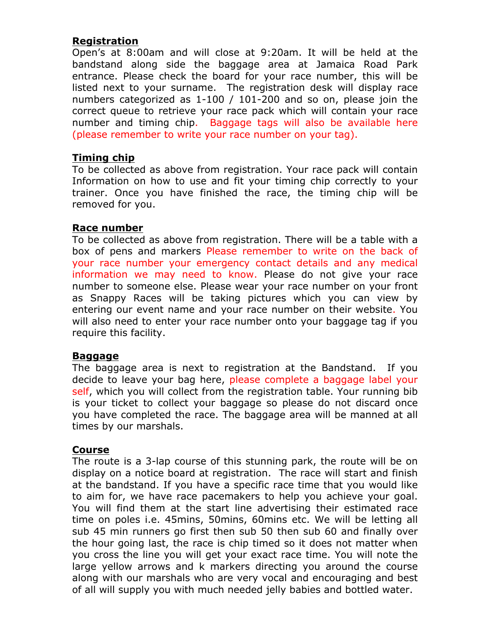### **Registration**

Open's at 8:00am and will close at 9:20am. It will be held at the bandstand along side the baggage area at Jamaica Road Park entrance. Please check the board for your race number, this will be listed next to your surname. The registration desk will display race numbers categorized as 1-100 / 101-200 and so on, please join the correct queue to retrieve your race pack which will contain your race number and timing chip. Baggage tags will also be available here (please remember to write your race number on your tag).

### **Timing chip**

To be collected as above from registration. Your race pack will contain Information on how to use and fit your timing chip correctly to your trainer. Once you have finished the race, the timing chip will be removed for you.

### **Race number**

To be collected as above from registration. There will be a table with a box of pens and markers Please remember to write on the back of your race number your emergency contact details and any medical information we may need to know. Please do not give your race number to someone else. Please wear your race number on your front as Snappy Races will be taking pictures which you can view by entering our event name and your race number on their website. You will also need to enter your race number onto your baggage tag if you require this facility.

### **Baggage**

The baggage area is next to registration at the Bandstand. If you decide to leave your bag here, please complete a baggage label your self, which you will collect from the registration table. Your running bib is your ticket to collect your baggage so please do not discard once you have completed the race. The baggage area will be manned at all times by our marshals.

# **Course**

The route is a 3-lap course of this stunning park, the route will be on display on a notice board at registration. The race will start and finish at the bandstand. If you have a specific race time that you would like to aim for, we have race pacemakers to help you achieve your goal. You will find them at the start line advertising their estimated race time on poles i.e. 45mins, 50mins, 60mins etc. We will be letting all sub 45 min runners go first then sub 50 then sub 60 and finally over the hour going last, the race is chip timed so it does not matter when you cross the line you will get your exact race time. You will note the large yellow arrows and k markers directing you around the course along with our marshals who are very vocal and encouraging and best of all will supply you with much needed jelly babies and bottled water.